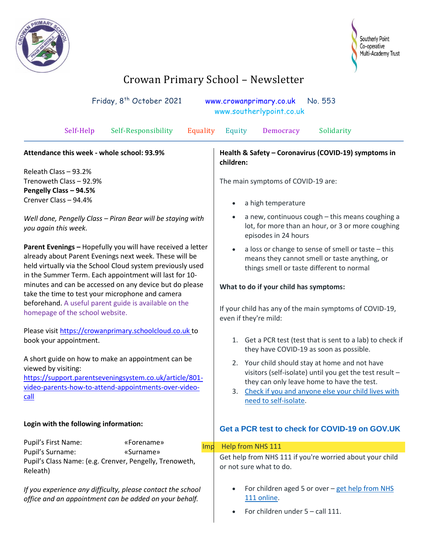



## Crowan Primary School – Newsletter

| Friday, 8 <sup>th</sup> October 2021<br>No. 553<br>www.crowanprimary.co.uk<br>www.southerlypoint.co.uk                                                                                                                                        |                                                                                           |                                                                                                                                                                                                                                                 |
|-----------------------------------------------------------------------------------------------------------------------------------------------------------------------------------------------------------------------------------------------|-------------------------------------------------------------------------------------------|-------------------------------------------------------------------------------------------------------------------------------------------------------------------------------------------------------------------------------------------------|
| Self-Help                                                                                                                                                                                                                                     | Equality<br>Self-Responsibility                                                           | Equity<br>Democracy<br>Solidarity                                                                                                                                                                                                               |
| Attendance this week - whole school: 93.9%                                                                                                                                                                                                    |                                                                                           | Health & Safety - Coronavirus (COVID-19) symptoms in<br>children:                                                                                                                                                                               |
| Releath Class - 93.2%<br>Trenoweth Class - 92.9%<br>Pengelly Class - 94.5%<br>Crenver Class - 94.4%                                                                                                                                           |                                                                                           | The main symptoms of COVID-19 are:<br>a high temperature<br>$\bullet$                                                                                                                                                                           |
| Well done, Pengelly Class - Piran Bear will be staying with<br>you again this week.                                                                                                                                                           |                                                                                           | a new, continuous cough - this means coughing a<br>$\bullet$<br>lot, for more than an hour, or 3 or more coughing<br>episodes in 24 hours                                                                                                       |
| Parent Evenings - Hopefully you will have received a letter<br>already about Parent Evenings next week. These will be<br>held virtually via the School Cloud system previously used<br>in the Summer Term. Each appointment will last for 10- |                                                                                           | a loss or change to sense of smell or taste - this<br>$\bullet$<br>means they cannot smell or taste anything, or<br>things smell or taste different to normal                                                                                   |
| minutes and can be accessed on any device but do please<br>take the time to test your microphone and camera                                                                                                                                   |                                                                                           | What to do if your child has symptoms:                                                                                                                                                                                                          |
| beforehand. A useful parent guide is available on the<br>homepage of the school website.                                                                                                                                                      |                                                                                           | If your child has any of the main symptoms of COVID-19,<br>even if they're mild:                                                                                                                                                                |
| Please visit https://crowanprimary.schoolcloud.co.uk to<br>book your appointment.                                                                                                                                                             |                                                                                           | Get a PCR test (test that is sent to a lab) to check if<br>1.<br>they have COVID-19 as soon as possible.                                                                                                                                        |
| A short guide on how to make an appointment can be<br>viewed by visiting:<br>https://support.parentseveningsystem.co.uk/article/801-<br>video-parents-how-to-attend-appointments-over-video-<br>call                                          |                                                                                           | Your child should stay at home and not have<br>2.<br>visitors (self-isolate) until you get the test result -<br>they can only leave home to have the test.<br>Check if you and anyone else your child lives with<br>3.<br>need to self-isolate. |
| Login with the following information:                                                                                                                                                                                                         |                                                                                           | Get a PCR test to check for COVID-19 on GOV.UK                                                                                                                                                                                                  |
| Pupil's First Name:<br>Pupil's Surname:                                                                                                                                                                                                       | «Forename»<br>Imp<br>«Surname»<br>Pupil's Class Name: (e.g. Crenver, Pengelly, Trenoweth, | Help from NHS 111                                                                                                                                                                                                                               |
| Releath)                                                                                                                                                                                                                                      |                                                                                           | Get help from NHS 111 if you're worried about your child<br>or not sure what to do.                                                                                                                                                             |
| If you experience any difficulty, please contact the school<br>office and an appointment can be added on your behalf.                                                                                                                         |                                                                                           | For children aged 5 or over - get help from NHS<br>111 online.<br>For children under 5 - call 111.                                                                                                                                              |
|                                                                                                                                                                                                                                               |                                                                                           |                                                                                                                                                                                                                                                 |